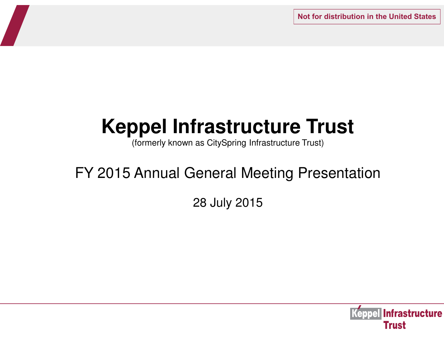**Not for distribution in the United States**

# **Keppel Infrastructure Trust**

(formerly known as CitySpring Infrastructure Trust)

## FY 2015 Annual General Meeting Presentation

28 July 2015

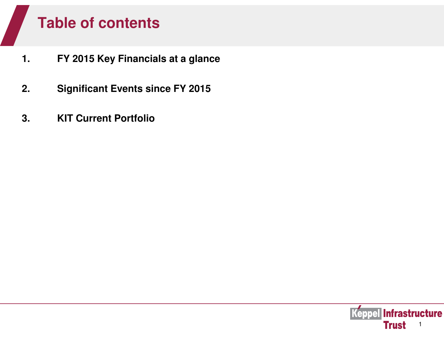## **Table of contents**

- **1. FY 2015 Key Financials at a glance**
- **2. Significant Events since FY 2015**
- **3. KIT Current Portfolio**

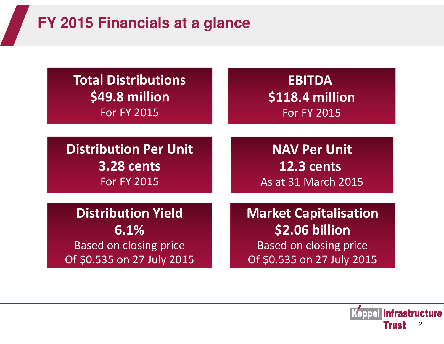# **FY 2015 Financials at a glance**

| <b>Total Distributions</b>    | <b>EBITDA</b>                 |
|-------------------------------|-------------------------------|
| \$49.8 million                | \$118.4 million               |
| <b>For FY 2015</b>            | <b>For FY 2015</b>            |
| <b>Distribution Per Unit</b>  | <b>NAV Per Unit</b>           |
| <b>3.28 cents</b>             | <b>12.3 cents</b>             |
| <b>For FY 2015</b>            | As at 31 March 2015           |
| <b>Distribution Yield</b>     | <b>Market Capitalisation</b>  |
| 6.1%                          | \$2.06 billion                |
| <b>Based on closing price</b> | <b>Based on closing price</b> |
| Of \$0.535 on 27 July 2015    | Of \$0.535 on 27 July 2015    |

Keppel Infrastructure **Trust** 2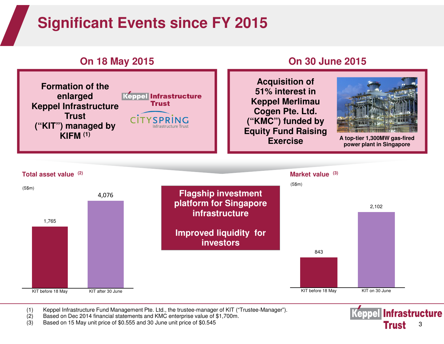## **Significant Events since FY 2015**



### **On 18 May 2015 On 30 June 2015**

**Acquisition of 51% interest in Keppel Merlimau Cogen Pte. Ltd. ("KMC") funded by Equity Fund Raising Exercise**

**A top-tier 1,300MW gas-fired power plant in Singapore**



(1) Keppel Infrastructure Fund Management Pte. Ltd., the trustee-manager of KIT ("Trustee-Manager").

- Based on Dec 2014 financial statements and KMC enterprise value of \$1,700m.
- (3) Based on 15 May unit price of \$0.555 and 30 June unit price of \$0.545

**Keppel Infrastructure Trust** 3